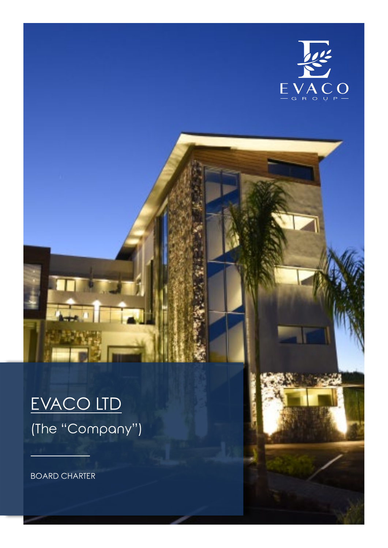

# EVACO LTD (The "Company")

BOARD CHARTER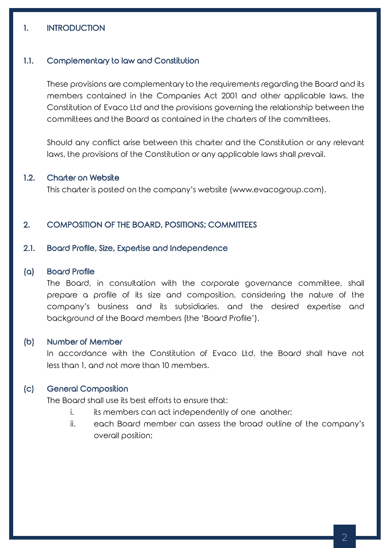## 1. INTRODUCTION

#### 1.1. Complementary to law and Constitution

These provisions are complementary to the requirements regarding the Board and its members contained in the Companies Act 2001 and other applicable laws, the Constitution of Evaco Ltd and the provisions governing the relationship between the committees and the Board as contained in the charters of the committees.

Should any conflict arise between this charter and the Constitution or any relevant laws, the provisions of the Constitution or any applicable laws shall prevail.

#### 1.2. Charter on Website

This charter is posted on the company's website (www.evacogroup.com).

## 2. COMPOSITION OF THE BOARD, POSITIONS; COMMITTEES

#### 2.1. Board Profile, Size, Expertise and Independence

#### (a) Board Profile

The Board, in consultation with the corporate governance committee, shall prepare a profile of its size and composition, considering the nature of the company's business and its subsidiaries, and the desired expertise and background of the Board members (the 'Board Profile').

## (b) Number of Member

In accordance with the Constitution of Evaco Ltd, the Board shall have not less than 1, and not more than 10 members.

## (c) General Composition

The Board shall use its best efforts to ensure that:

- i. its members can act independently of one another;
- ii. each Board member can assess the broad outline of the company's overall position;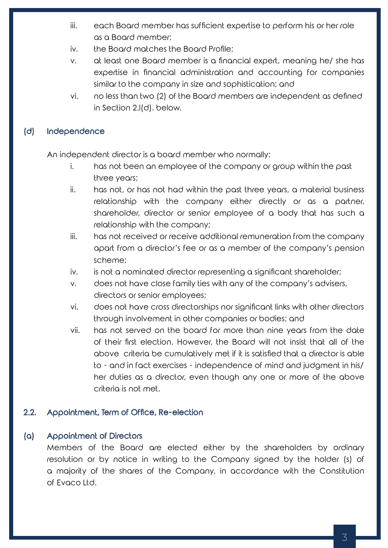- iii. each Board member has sufficient expertise to perform his or her role as a Board member;
- iv. the Board matches the Board Profile;
- v. at least one Board member is a financial expert, meaning he/ she has expertise in financial administration and accounting for companies similar to the company in size and sophistication; and
- vi. no less than two (2) of the Board members are independent as defined in Section 2.l(d). below.

## (d) Independence

An independent director is a board member who normally:

- i. has not been an employee of the company or group within the past three years;
- ii. has not, or has not had within the past three years, a material business relationship with the company either directly or as a partner, shareholder, director or senior employee of a body that has such a relationship with the company;
- iii. has not received or receive additional remuneration from the company apart from a director's fee or as a member of the company's pension scheme;
- iv. is not a nominated director representing a significant shareholder;
- v. does not have close family ties with any of the company's advisers, directors or senior employees;
- vi. does not have cross directorships nor significant links with other directors through involvement in other companies or bodies; and
- vii. has not served on the board for more than nine years from the date of their first election. However, the Board will not insist that all of the above criteria be cumulatively met if it is satisfied that a director is able to - and in fact exercises - independence of mind and judgment in his/ her duties as a director, even though any one or more of the above criteria is not met.

## 2.2. Appointment, Term of Office, Re-election

## (a) Appointment of Directors

Members of the Board are elected either by the shareholders by ordinary resolution or by notice in writing to the Company signed by the holder (s) of a majority of the shares of the Company, in accordance with the Constitution of Evaco Ltd.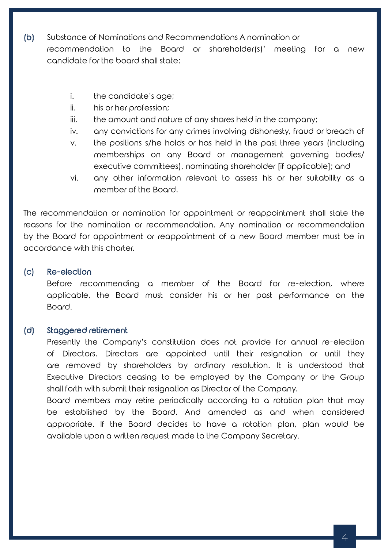- (b) Substance of Nominations and Recommendations A nomination or recommendation to the Board or shareholder(s)' meeting for a new candidate for the board shall state:
	- i. the candidate's age;
	- ii. his or her profession;
	- iii. the amount and nature of any shares held in the company;
	- iv. any convictions for any crimes involving dishonesty, fraud or breach of
	- v. the positions s/he holds or has held in the past three years (including memberships on any Board or management governing bodies/ executive committees), nominating shareholder [if applicable]; and
	- vi. any other information relevant to assess his or her suitability as a member of the Board.

The recommendation or nomination for appointment or reappointment shall state the reasons for the nomination or recommendation. Any nomination or recommendation by the Board for appointment or reappointment of a new Board member must be in accordance with this charter.

## (c) Re-election

Before recommending a member of the Board for re-election, where applicable, the Board must consider his or her past performance on the Board.

## (d) Staggered retirement

Presently the Company's constitution does not provide for annual re-election of Directors. Directors are appointed until their resignation or until they are removed by shareholders by ordinary resolution. It is understood that Executive Directors ceasing to be employed by the Company or the Group shall forth with submit their resignation as Director of the Company.

Board members may retire periodically according to a rotation plan that may be established by the Board. And amended as and when considered appropriate. If the Board decides to have a rotation plan, plan would be available upon a written request made to the Company Secretary.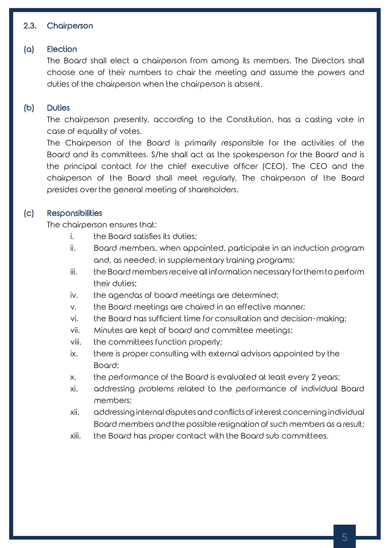# 2.3. Chairperson

# (a) Election

The Board shall elect a chairperson from among its members. The Directors shall choose one of their numbers to chair the meeting and assume the powers and duties of the chairperson when the chairperson is absent.

## (b) Duties

The chairperson presently, according to the Constitution, has a casting vote in case of equality of votes.

The Chairperson of the Board is primarily responsible for the activities of the Board and its committees. S/he shall act as the spokesperson for the Board and is the principal contact for the chief executive officer (CEO). The CEO and the chairperson of the Board shall meet regularly. The chairperson of the Board presides over the general meeting of shareholders.

## (c) Responsibilities

The chairperson ensures that:

- i. the Board satisfies its duties;
- ii. Board members, when appointed, participate in an induction program and, as needed, in supplementary training programs;
- iii. the Board members receive all information necessary for them to perform their duties;
- iv. the agendas of board meetings are determined;
- v. the Board meetings are chaired in an effective manner;
- vi. the Board has sufficient time for consultation and decision-making;
- vii. Minutes are kept of board and committee meetings;
- viii. the committees function properly;
- ix. there is proper consulting with external advisors appointed by the Board;
- x. the performance of the Board is evaluated at least every 2 years;
- xi. addressing problems related to the performance of individual Board members;
- xii. addressing internal disputes and conflicts of interest concerning individual Board members and the possible resignation of such members as a result;
- xiii. the Board has proper contact with the Board sub committees.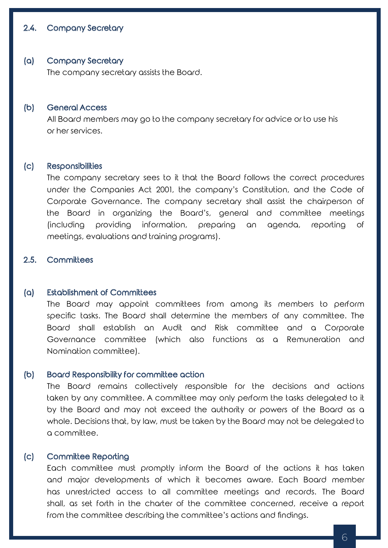## 2.4. Company Secretary

#### (a) Company Secretary

The company secretary assists the Board.

#### (b) General Access

All Board members may go to the company secretary for advice or to use his or her services.

#### (c) Responsibilities

The company secretary sees to it that the Board follows the correct procedures under the Companies Act 2001, the company's Constitution, and the Code of Corporate Governance. The company secretary shall assist the chairperson of the Board in organizing the Board's, general and committee meetings (including providing information, preparing an agenda, reporting of meetings, evaluations and training programs).

## 2.5. Committees

#### (a) Establishment of Committees

The Board may appoint committees from among its members to perform specific tasks. The Board shall determine the members of any committee. The Board shall establish an Audit and Risk committee and a Corporate Governance committee (which also functions as a Remuneration and Nomination committee).

## (b) Board Responsibility for committee action

The Board remains collectively responsible for the decisions and actions taken by any committee. A committee may only perform the tasks delegated to it by the Board and may not exceed the authority or powers of the Board as a whole. Decisions that, by law, must be taken by the Board may not be delegated to a committee.

## (c) Committee Reporting

Each committee must promptly inform the Board of the actions it has taken and major developments of which it becomes aware. Each Board member has unrestricted access to all committee meetings and records. The Board shall, as set forth in the charter of the committee concerned, receive a report from the committee describing the committee's actions and findings.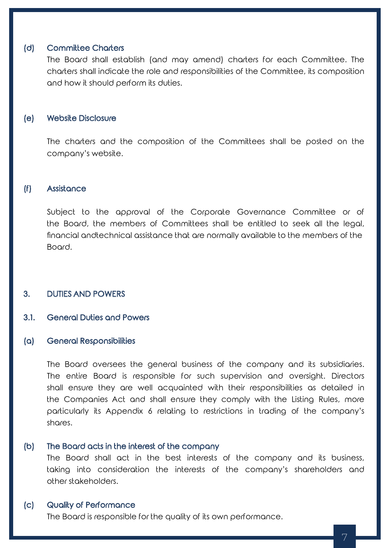## (d) Committee Charters

The Board shall establish (and may amend) charters for each Committee. The charters shall indicate the role and responsibilities of the Committee, its composition and how it should perform its duties.

## (e) Website Disclosure

The charters and the composition of the Committees shall be posted on the company's website.

## (f) Assistance

Subject to the approval of the Corporate Governance Committee or of the Board, the members of Committees shall be entitled to seek all the legal, financial andtechnical assistance that are normally available to the members of the Board.

## 3. DUTIES AND POWERS

## 3.1. General Duties and Powers

#### (a) General Responsibilities

The Board oversees the general business of the company and its subsidiaries. The entire Board is responsible for such supervision and oversight. Directors shall ensure they are well acquainted with their responsibilities as detailed in the Companies Act and shall ensure they comply with the Listing Rules, more particularly its Appendix 6 relating to restrictions in trading of the company's shares.

## (b) The Board acts in the interest of the company

The Board shall act in the best interests of the company and its business, taking into consideration the interests of the company's shareholders and other stakeholders.

## (c) Quality of Performance

The Board is responsible for the quality of its own performance.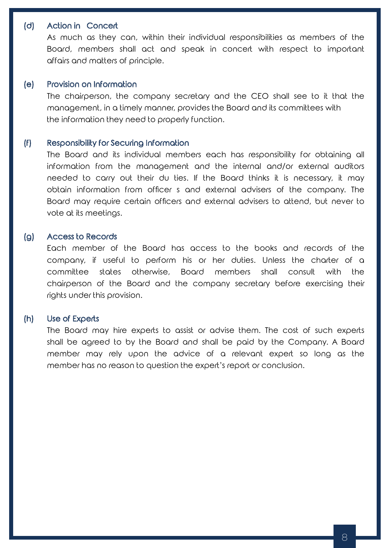## (d) Action in Concert

As much as they can, within their individual responsibilities as members of the Board, members shall act and speak in concert with respect to important affairs and matters of principle.

## (e) Provision on Information

The chairperson, the company secretary and the CEO shall see to it that the management, in a timely manner, provides the Board and its committees with the information they need to properly function.

## (f) Responsibility for Securing Information

The Board and its individual members each has responsibility for obtaining all information from the management and the internal and/or external auditors needed to carry out their du ties. If the Board thinks it is necessary, it may obtain information from officer s and external advisers of the company. The Board may require certain officers and external advisers to attend, but never to vote at its meetings.

## (g) Access to Records

Each member of the Board has access to the books and records of the company, if useful to perform his or her duties. Unless the charter of a committee states otherwise, Board members shall consult with the chairperson of the Board and the company secretary before exercising their rights under this provision.

## (h) Use of Experts

The Board may hire experts to assist or advise them. The cost of such experts shall be agreed to by the Board and shall be paid by the Company. A Board member may rely upon the advice of a relevant expert so long as the member has no reason to question the expert's report or conclusion.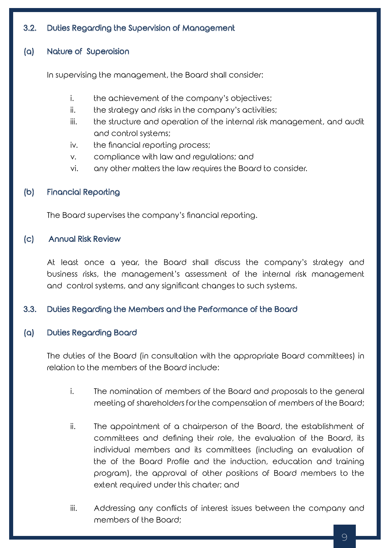# 3.2. Duties Regarding the Supervision of Management

# (a) Nature of Superoision

In supervising the management, the Board shall consider:

- i. the achievement of the company's objectives;
- ii. the strategy and risks in the company's activities;
- iii. the structure and operation of the internal risk management, and audit and control systems;
- iv. the financial reporting process;
- v. compliance with law and regulations; and
- vi. any other matters the law requires the Board to consider.

# (b) Financial Reporting

The Board supervises the company's financial reporting.

# (c) Annual Risk Review

At least once a year, the Board shall discuss the company's strategy and business risks, the management's assessment of the internal risk management and control systems, and any significant changes to such systems.

# 3.3. Duties Regarding the Members and the Performance of the Board

# (a) Duties Regarding Board

The duties of the Board (in consultation with the appropriate Board committees) in relation to the members of the Board include:

- i. The nomination of members of the Board and proposals to the general meeting of shareholders for the compensation of members of the Board;
- ii. The appointment of a chairperson of the Board, the establishment of committees and defining their role, the evaluation of the Board, its individual members and its committees (including an evaluation of the of the Board Profile and the induction, education and training program), the approval of other positions of Board members to the extent required under this charter; and
- iii. Addressing any conflicts of interest issues between the company and members of the Board;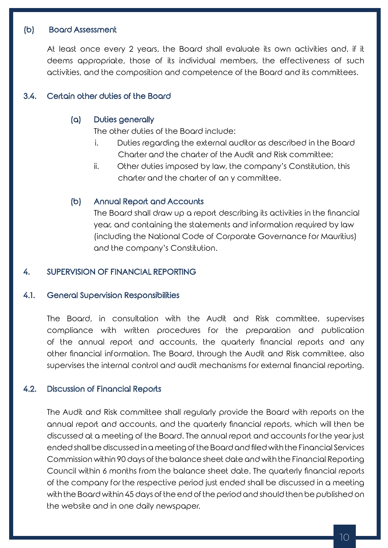## (b) Board Assessment

At least once every 2 years, the Board shall evaluate its own activities and, if it deems appropriate, those of its individual members, the effectiveness of such activities, and the composition and competence of the Board and its committees.

## 3.4. Certain other duties of the Board

## (a) Duties generally

The other duties of the Board include:

- i. Duties regarding the external auditor as described in the Board Charter and the charter of the Audit and Risk committee;
- ii. Other duties imposed by law, the company's Constitution, this charter and the charter of an y committee.

## (b) Annual Report and Accounts

The Board shall draw up a report describing its activities in the financial year, and containing the statements and information required by law (including the National Code of Corporate Governance for Mauritius) and the company's Constitution.

## 4. SUPERVISION OF FINANCIAL REPORTING

## 4.1. General Supervision Responsibilities

The Board, in consultation with the Audit and Risk committee, supervises compliance with written procedures for the preparation and publication of the annual report and accounts, the quarterly financial reports and any other financial information. The Board, through the Audit and Risk committee, also supervises the internal control and audit mechanisms for external financial reporting.

## 4.2. Discussion of Financial Reports

The Audit and Risk committee shall regularly provide the Board with reports on the annual report and accounts, and the quarterly financial reports, which will then be discussed at a meeting of the Board. The annual report and accounts for the year just ended shall be discussed in a meeting of the Board and filed with the Financial Services Commission within 90 days of the balance sheet date and with the Financial Reporting Council within 6 months from the balance sheet date. The quarterly financial reports of the company for the respective period just ended shall be discussed in a meeting with the Board within 45 days of the end of the period and should then be published on the website and in one daily newspaper.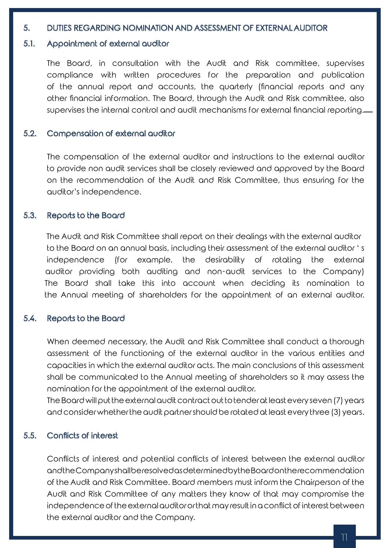## 5. DUTIES REGARDING NOMINATION AND ASSESSMENT OF EXTERNAL AUDITOR

## 5.1. Appointment of external auditor

The Board, in consultation with the Audit and Risk committee, supervises compliance with written procedures for the preparation and publication of the annual report and accounts, the quarterly (financial reports and any other financial information. The Board, through the Audit and Risk committee, also supervises the internal control and audit mechanisms for external financial reporting.

## 5.2. Compensation of external auditor

The compensation of the external auditor and instructions to the external auditor to provide non audit services shall be closely reviewed and approved by the Board on the recommendation of the Audit and Risk Committee, thus ensuring for the auditor's independence.

## 5.3. Reports to the Board

 The Audit and Risk Committee shall report on their dealings with the external auditor to the Board on an annual basis, including their assessment of the external auditor ' s independence (for example, the desirability of rotating the external auditor providing both auditing and non-audit services to the Company) The Board shall take this into account when deciding its nomination to the Annual meeting of shareholders for the appointment of an external auditor.

## 5.4. Reports to the Board

When deemed necessary, the Audit and Risk Committee shall conduct a thorough assessment of the functioning of the external auditor in the various entities and capacities in which the external auditor acts. The main conclusions of this assessment shall be communicated to the Annual meeting of shareholders so it may assess the nomination for the appointment of the external auditor.

The Board will put the external audit contract out to tender at least every seven (7) years and consider whether the audit partner should be rotated at least every three (3) years.

## 5.5. Conflicts of interest

Conflicts of interest and potential conflicts of interest between the external auditor and the Company shall be resolved as determined by the Board on the recommendation of the Audit and Risk Committee. Board members must inform the Chairperson of the Audit and Risk Committee of any matters they know of that may compromise the independence of the external auditor or that may result in a conflict of interest between the external auditor and the Company.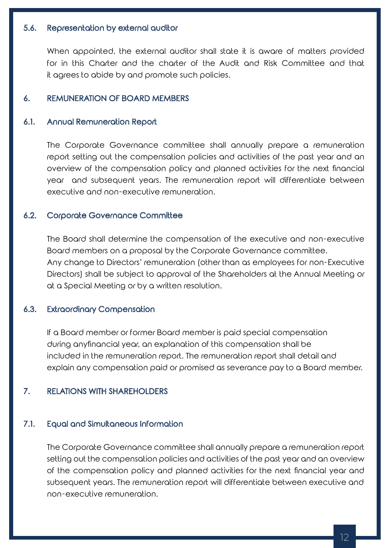## 5.6. Representation by external auditor

When appointed, the external auditor shall state it is aware of matters provided for in this Charter and the charter of the Audit and Risk Committee and that it agrees to abide by and promote such policies.

## 6. REMUNERATION OF BOARD MEMBERS

## 6.1. Annual Remuneration Report

The Corporate Governance committee shall annually prepare a remuneration report setting out the compensation policies and activities of the past year and an overview of the compensation policy and planned activities for the next financial year and subsequent years. The remuneration report will differentiate between executive and non-executive remuneration.

## 6.2. Corporate Governance Committee

The Board shall determine the compensation of the executive and non-executive Board members on a proposal by the Corporate Governance committee. Any change to Directors' remuneration (other than as employees for non-Executive Directors) shall be subject to approval of the Shareholders at the Annual Meeting or at a Special Meeting or by a written resolution.

## 6.3. Extraordinary Compensation

If a Board member or former Board member is paid special compensation during anyfinancial year, an explanation of this compensation shall be included in the remuneration report. The remuneration report shall detail and explain any compensation paid or promised as severance pay to a Board member.

## 7. RELATIONS WITH SHAREHOLDERS

## 7.1. Equal and Simultaneous Information

The Corporate Governance committee shall annually prepare a remuneration report setting out the compensation policies and activities of the past year and an overview of the compensation policy and planned activities for the next financial year and subsequent years. The remuneration report will differentiate between executive and non-executive remuneration.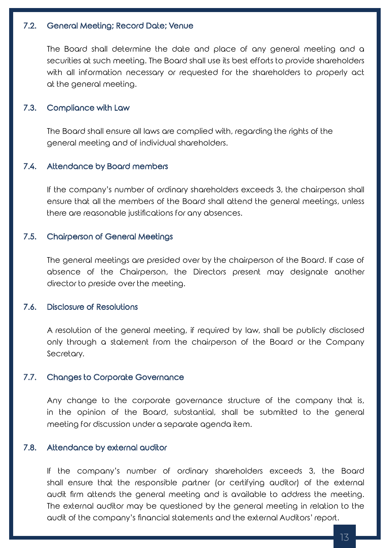## 7.2. General Meeting; Record Date; Venue

The Board shall determine the date and place of any general meeting and a securities at such meeting. The Board shall use its best efforts to provide shareholders with all information necessary or requested for the shareholders to properly act at the general meeting.

## 7.3. Compliance with Law

The Board shall ensure all laws are complied with, regarding the rights of the general meeting and of individual shareholders.

## 7.4. Attendance by Board members

If the company's number of ordinary shareholders exceeds 3, the chairperson shall ensure that all the members of the Board shall attend the general meetings, unless there are reasonable justifications for any absences.

## 7.5. Chairperson of General Meetings

The general meetings are presided over by the chairperson of the Board. If case of absence of the Chairperson, the Directors present may designate another director to preside over the meeting.

## 7.6. Disclosure of Resolutions

A resolution of the general meeting, if required by law, shall be publicly disclosed only through a statement from the chairperson of the Board or the Company Secretary.

## 7.7. Changes to Corporate Governance

Any change to the corporate governance structure of the company that is, in the opinion of the Board, substantial, shall be submitted to the general meeting for discussion under a separate agenda item.

#### 7.8. Attendance by external auditor

If the company's number of ordinary shareholders exceeds 3, the Board shall ensure that the responsible partner (or certifying auditor) of the external audit firm attends the general meeting and is available to address the meeting. The external auditor may be questioned by the general meeting in relation to the audit of the company's financial statements and the external Auditors' report.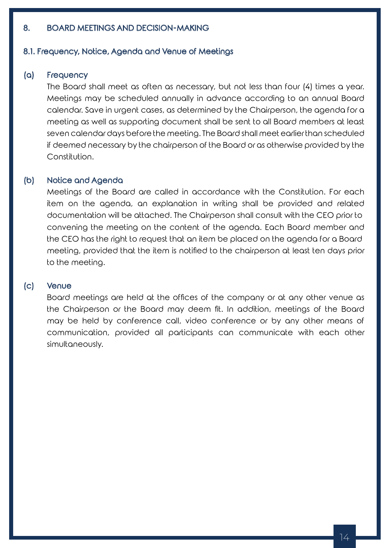## 8. BOARD MEETINGS AND DECISION-MAKING

#### 8.1. Frequency, Notice, Agenda and Venue of Meetings

## (a) Frequency

The Board shall meet as often as necessary, but not less than four (4) times a year. Meetings may be scheduled annually in advance according to an annual Board calendar. Save in urgent cases, as determined by the Chairperson, the agenda for a meeting as well as supporting document shall be sent to all Board members at least seven calendar days before the meeting. The Board shall meet earlier than scheduled if deemed necessary by the chairperson of the Board or as otherwise provided by the Constitution.

## (b) Notice and Agenda

Meetings of the Board are called in accordance with the Constitution. For each item on the agenda, an explanation in writing shall be provided and related documentation will be attached. The Chairperson shall consult with the CEO prior to convening the meeting on the content of the agenda. Each Board member and the CEO has the right to request that an item be placed on the agenda for a Board meeting, provided that the item is notified to the chairperson at least ten days prior to the meeting.

## (c) Venue

Board meetings are held at the offices of the company or at any other venue as the Chairperson or the Board may deem fit. In addition, meetings of the Board may be held by conference call, video conference or by any other means of communication, provided all participants can communicate with each other simultaneously.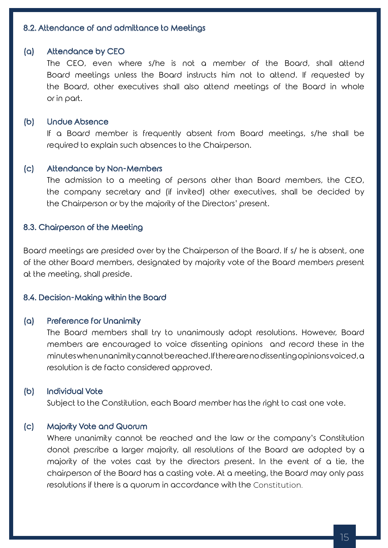## 8.2. Attendance of and admittance to Meetings

## (a) Attendance by CEO

The CEO, even where s/he is not a member of the Board, shall attend Board meetings unless the Board instructs him not to attend. If requested by the Board, other executives shall also attend meetings of the Board in whole or in part.

#### (b) Undue Absence

If a Board member is frequently absent from Board meetings, s/he shall be required to explain such absences to the Chairperson.

#### (c) Attendance by Non-Members

The admission to a meeting of persons other than Board members, the CEO, the company secretary and (if invited) other executives, shall be decided by the Chairperson or by the majority of the Directors' present.

## 8.3. Chairperson of the Meeting

Board meetings are presided over by the Chairperson of the Board. If s/ he is absent, one of the other Board members, designated by majority vote of the Board members present at the meeting, shall preside.

#### 8.4. Decision-Making within the Board

## (a) Preference for Unanimity

The Board members shall try to unanimously adopt resolutions. However, Board members are encouraged to voice dissenting opinions and record these in the minutes when unanimity cannot be reached. If there are no dissenting opinions voiced, a resolution is de facto considered approved.

## (b) Individual Vote

Subject to the Constitution, each Board member has the right to cast one vote.

## (c) Majority Vote and Quorum

Where unanimity cannot be reached and the law or the company's Constitution donot prescribe a larger majority, all resolutions of the Board are adopted by a majority of the votes cast by the directors present. In the event of a tie, the chairperson of the Board has a casting vote. At a meeting, the Board may only pass resolutions if there is a quorum in accordance with the Constitution.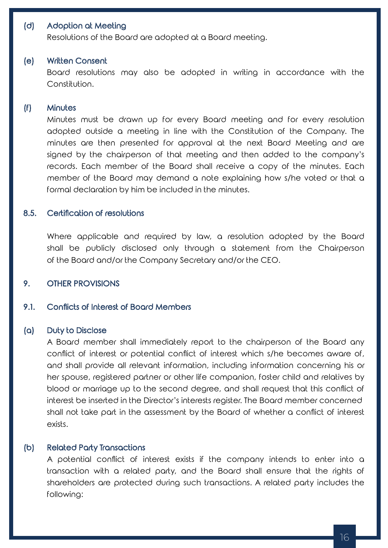## (d) Adoption at Meeting

Resolutions of the Board are adopted at a Board meeting.

#### (e) Written Consent

Board resolutions may also be adopted in writing in accordance with the Constitution.

## (f) Minutes

Minutes must be drawn up for every Board meeting and for every resolution adopted outside a meeting in line with the Constitution of the Company. The minutes are then presented for approval at the next Board Meeting and are signed by the chairperson of that meeting and then added to the company's records. Each member of the Board shall receive a copy of the minutes. Each member of the Board may demand a note explaining how s/he voted or that a formal declaration by him be included in the minutes.

## 8.5. Certification of resolutions

Where applicable and required by law, a resolution adopted by the Board shall be publicly disclosed only through a statement from the Chairperson of the Board and/or the Company Secretary and/or the CEO.

## 9. OTHER PROVISIONS

## 9.1. Conflicts of Interest of Board Members

#### (a) Duty to Disclose

A Board member shall immediately report to the chairperson of the Board any conflict of interest or potential conflict of interest which s/he becomes aware of, and shall provide all relevant information, including information concerning his or her spouse, registered partner or other life companion, foster child and relatives by blood or marriage up to the second degree, and shall request that this conflict of interest be inserted in the Director's interests register. The Board member concerned shall not take part in the assessment by the Board of whether a conflict of interest exists.

#### (b) Related Party Transactions

A potential conflict of interest exists if the company intends to enter into a transaction with a related party, and the Board shall ensure that the rights of shareholders are protected during such transactions. A related party includes the following: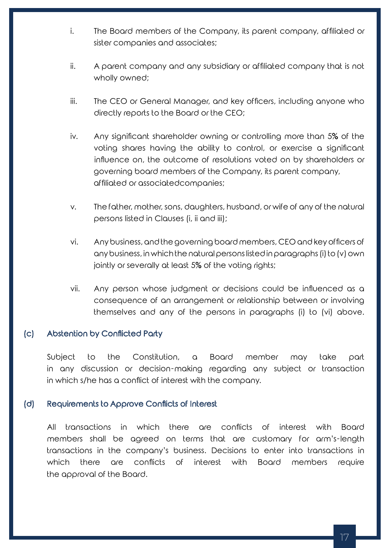- i. The Board members of the Company, its parent company, affiliated or sister companies and associates;
- ii. A parent company and any subsidiary or affiliated company that is not wholly owned;
- iii. The CEO or General Manager, and key officers, including anyone who directly reports to the Board or the CEO;
- iv. Any significant shareholder owning or controlling more than 5% of the voting shares having the ability to control, or exercise a significant influence on, the outcome of resolutions voted on by shareholders or governing board members of the Company, its parent company, affiliated or associatedcompanies;
- v. The father, mother, sons, daughters, husband, or wife of any of the natural persons listed in Clauses (i, ii and iii);
- vi. Any business, and the governing board members, CEO and key officers of any business, in which the natural persons listed in paragraphs (i) to (v) own jointly or severally at least 5% of the voting rights;
- vii. Any person whose judgment or decisions could be influenced as a consequence of an arrangement or relationship between or involving themselves and any of the persons in paragraphs (i) to (vi) above.

## (c) Abstention by Conflicted Party

Subject to the Constitution, a Board member may take part in any discussion or decision-making regarding any subject or transaction in which s/he has a conflict of interest with the company.

## (d) Requirements to Approve Conflicts of Interest

All transactions in which there are conflicts of interest with Board members shall be agreed on terms that are customary for arm's-length transactions in the company's business. Decisions to enter into transactions in which there are conflicts of interest with Board members require the approval of the Board.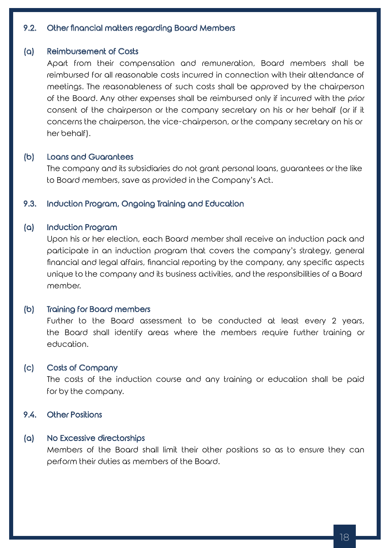# 9.2. Other financial matters regarding Board Members

#### (a) Reimbursement of Costs

Apart from their compensation and remuneration, Board members shall be reimbursed for all reasonable costs incurred in connection with their attendance of meetings. The reasonableness of such costs shall be approved by the chairperson of the Board. Any other expenses shall be reimbursed only if incurred with the prior consent of the chairperson or the company secretary on his or her behalf (or if it concerns the chairperson, the vice-chairperson, or the company secretary on his or her behalf).

## (b) Loans and Guarantees

The company and its subsidiaries do not grant personal loans, guarantees or the like to Board members, save as provided in the Company's Act.

## 9.3. Induction Program, Ongoing Training and Education

## (a) Induction Program

Upon his or her election, each Board member shall receive an induction pack and participate in an induction program that covers the company's strategy, general financial and legal affairs, financial reporting by the company, any specific aspects unique to the company and its business activities, and the responsibilities of a Board member.

#### (b) Training for Board members

Further to the Board assessment to be conducted at least every 2 years, the Board shall identify areas where the members require further training or education.

## (c) Costs of Company

The costs of the induction course and any training or education shall be paid for by the company.

9.4. Other Positions

## (a) No Excessive directorships

Members of the Board shall limit their other positions so as to ensure they can perform their duties as members of the Board.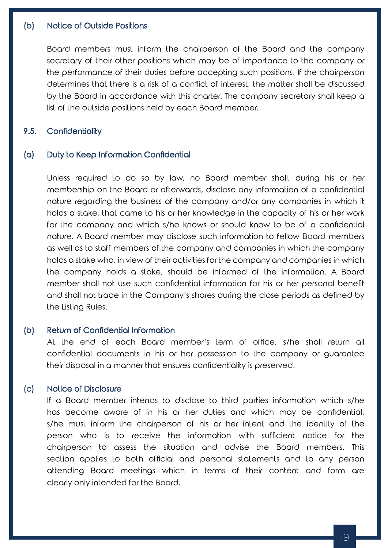## (b) Notice of Outside Positions

Board members must inform the chairperson of the Board and the company secretary of their other positions which may be of importance to the company or the performance of their duties before accepting such positions. If the chairperson determines that there is a risk of a conflict of interest, the matter shall be discussed by the Board in accordance with this charter. The company secretary shall keep a list of the outside positions held by each Board member.

## 9.5. Confidentiality

## (a) Duty to Keep Information Confidential

Unless required to do so by law, no Board member shall, during his or her membership on the Board or afterwards, disclose any information of a confidential nature regarding the business of the company and/or any companies in which it holds a stake, that came to his or her knowledge in the capacity of his or her work for the company and which s/he knows or should know to be of a confidential nature. A Board member may disclose such information to fellow Board members as well as to staff members of the company and companies in which the company holds a stake who, in view of their activities for the company and companies in which the company holds a stake, should be informed of the information. A Board member shall not use such confidential information for his or her personal benefit and shall not trade in the Company's shares during the close periods as defined by the Listing Rules.

## (b) Return of Confidential Information

At the end of each Board member's term of office, s/he shall return all confidential documents in his or her possession to the company or guarantee their disposal in a manner that ensures confidentiality is preserved.

## (c) Notice of Disclosure

If a Board member intends to disclose to third parties information which s/he has become aware of in his or her duties and which may be confidential, s/he must inform the chairperson of his or her intent and the identity of the person who is to receive the information with sufficient notice for the chairperson to assess the situation and advise the Board members. This section applies to both official and personal statements and to any person attending Board meetings which in terms of their content and form are clearly only intended for the Board.